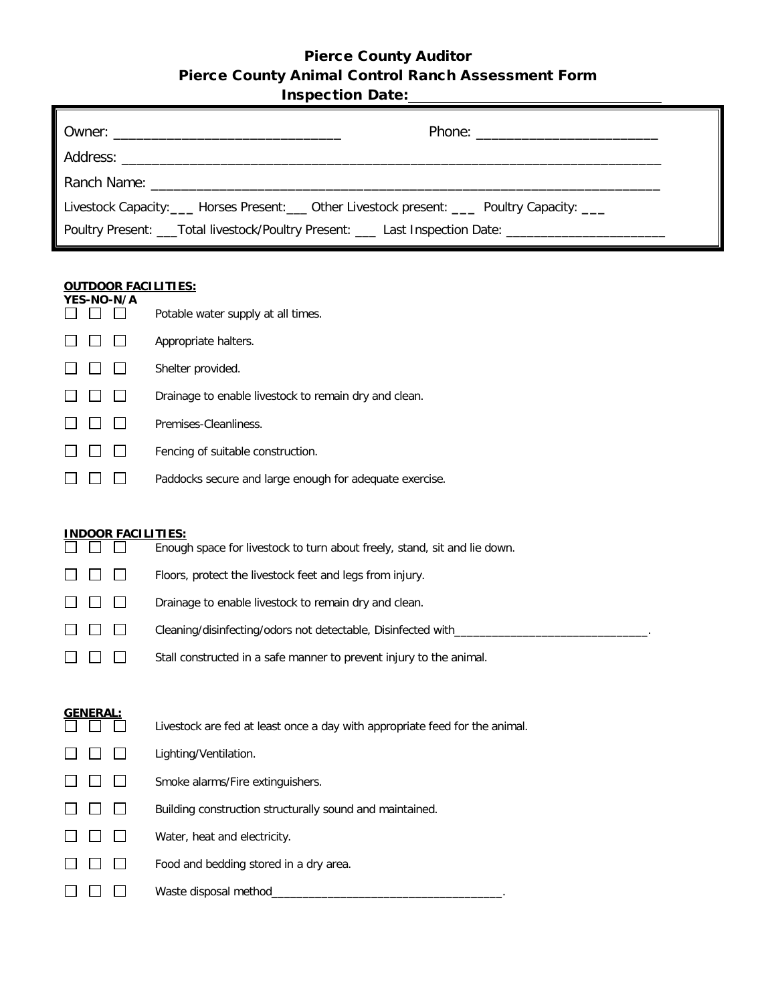## Pierce County Auditor Pierce County Animal Control Ranch Assessment Form **Inchection Date:**

| <b>INSPECTION DATE:</b> |  |          |
|-------------------------|--|----------|
|                         |  |          |
|                         |  |          |
|                         |  |          |
|                         |  | $Dh$ nno |
|                         |  |          |

| Livestock Capacity: ____ Horses Present: ___ Other Livestock present: ____ Poultry Capacity: ___ |                                                                                                      |
|--------------------------------------------------------------------------------------------------|------------------------------------------------------------------------------------------------------|
|                                                                                                  | Poultry Present: ___Total livestock/Poultry Present: ___ Last Inspection Date: _____________________ |

## **OUTDOOR FACILITIES:**

|  | YES-NO-N/A | Potable water supply at all times.                      |
|--|------------|---------------------------------------------------------|
|  |            |                                                         |
|  |            | Appropriate halters.                                    |
|  |            | Shelter provided.                                       |
|  |            | Drainage to enable livestock to remain dry and clean.   |
|  |            | Premises-Cleanliness.                                   |
|  |            | Fencing of suitable construction.                       |
|  |            | Paddocks secure and large enough for adequate exercise. |

| <b>INDOOR FACILITIES:</b> |                 |  |                                                                           |  |
|---------------------------|-----------------|--|---------------------------------------------------------------------------|--|
|                           |                 |  | Enough space for livestock to turn about freely, stand, sit and lie down. |  |
|                           | <b>LI LI LI</b> |  | Floors, protect the livestock feet and legs from injury.                  |  |
| $\Box$                    |                 |  | Drainage to enable livestock to remain dry and clean.                     |  |
|                           |                 |  | Cleaning/disinfecting/odors not detectable, Disinfected with_____         |  |
|                           |                 |  | Stall constructed in a safe manner to prevent injury to the animal.       |  |

| <b>GENERAL:</b> |                                                                             |
|-----------------|-----------------------------------------------------------------------------|
|                 | Livestock are fed at least once a day with appropriate feed for the animal. |
|                 | Lighting/Ventilation.                                                       |
|                 | Smoke alarms/Fire extinguishers.                                            |
|                 | Building construction structurally sound and maintained.                    |
|                 | Water, heat and electricity.                                                |
|                 | Food and bedding stored in a dry area.                                      |
|                 | Waste disposal method                                                       |
|                 |                                                                             |